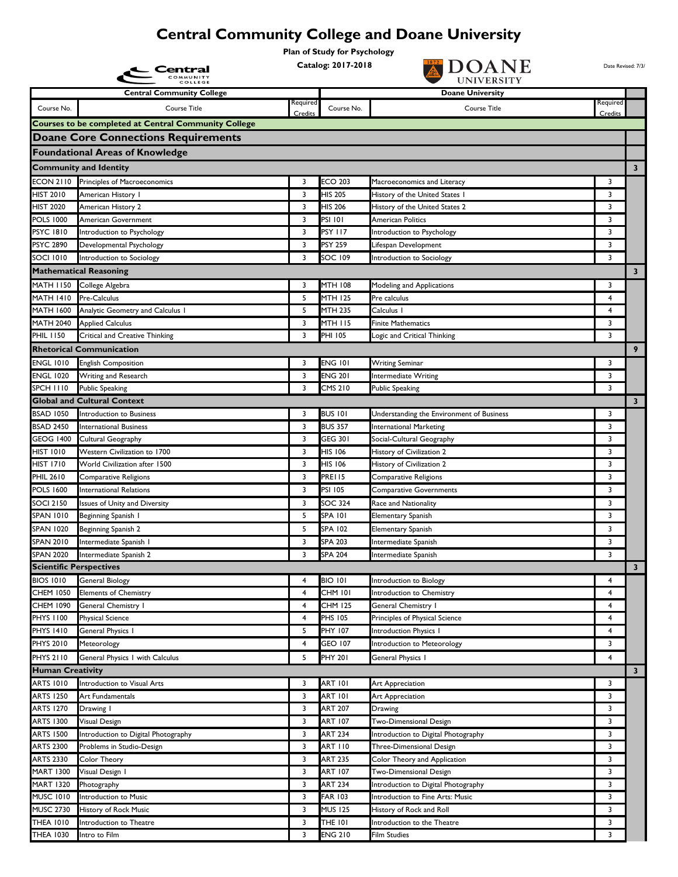|                                      | Central<br>COLLEGE                                          |                     | <b>Catalog: 2017-2018</b>        | <b>DOANE</b><br><b>UNIVERSITY</b>                             | Date Revised: 7/3/         |                |
|--------------------------------------|-------------------------------------------------------------|---------------------|----------------------------------|---------------------------------------------------------------|----------------------------|----------------|
|                                      | <b>Central Community College</b>                            |                     |                                  | <b>Doane University</b>                                       |                            |                |
| Course No.                           | <b>Course Title</b>                                         | Required<br>Credits | Course No.                       | <b>Course Title</b>                                           | Required<br><b>Credits</b> |                |
|                                      | <b>Courses to be completed at Central Community College</b> |                     |                                  |                                                               |                            |                |
|                                      | <b>Doane Core Connections Requirements</b>                  |                     |                                  |                                                               |                            |                |
|                                      | <b>Foundational Areas of Knowledge</b>                      |                     |                                  |                                                               |                            |                |
|                                      | <b>Community and Identity</b>                               |                     |                                  |                                                               |                            | $\mathbf{3}$   |
| <b>ECON 2110</b>                     |                                                             |                     | <b>ECO 203</b>                   |                                                               |                            |                |
| <b>HIST 2010</b>                     | Principles of Macroeconomics<br>American History I          | 3<br>3              | <b>HIS 205</b>                   | Macroeconomics and Literacy<br>History of the United States I | 3<br>3                     |                |
| <b>HIST 2020</b>                     | <b>American History 2</b>                                   | 3                   | <b>HIS 206</b>                   | History of the United States 2                                | 3                          |                |
| <b>POLS 1000</b>                     | <b>American Government</b>                                  | 3                   | <b>PSI 101</b>                   | <b>American Politics</b>                                      | 3                          |                |
| <b>PSYC 1810</b>                     | Introduction to Psychology                                  | 3                   | <b>PSY 117</b>                   | Introduction to Psychology                                    | 3                          |                |
| <b>PSYC 2890</b>                     | Developmental Psychology                                    | 3                   | <b>PSY 259</b>                   | Lifespan Development                                          | $\mathbf{3}$               |                |
| <b>SOCI 1010</b>                     | Introduction to Sociology                                   | 3                   | <b>SOC 109</b>                   | Introduction to Sociology                                     | $\mathbf{3}$               |                |
|                                      | <b>Mathematical Reasoning</b>                               |                     |                                  |                                                               |                            | $\mathbf{3}$   |
| <b>MATH 1150</b>                     | College Algebra                                             | 3                   | <b>MTH 108</b>                   | <b>Modeling and Applications</b>                              | 3                          |                |
| MATH 1410 Pre-Calculus               |                                                             | 5                   | <b>MTH 125</b>                   | Pre calculus                                                  | 4                          |                |
| <b>MATH 1600</b>                     | <b>Analytic Geometry and Calculus I</b>                     | 5                   | <b>MTH 235</b>                   | Calculus I                                                    | 4                          |                |
| <b>MATH 2040</b>                     | <b>Applied Calculus</b>                                     | 3                   | <b>MTH 115</b>                   | <b>Finite Mathematics</b>                                     | 3                          |                |
| <b>PHIL 1150</b>                     | <b>Critical and Creative Thinking</b>                       | 3                   | <b>PHI 105</b>                   | Logic and Critical Thinking                                   | 3                          |                |
|                                      | <b>Rhetorical Communication</b>                             |                     |                                  |                                                               |                            | 9              |
| <b>ENGL 1010</b>                     | <b>English Composition</b>                                  | 3                   | <b>ENG 101</b>                   | <b>Writing Seminar</b>                                        | 3                          |                |
| <b>ENGL 1020</b>                     | <b>Writing and Research</b>                                 | 3                   | <b>ENG 201</b>                   | <b>Intermediate Writing</b>                                   | 3                          |                |
| <b>SPCH 1110</b>                     | <b>Public Speaking</b>                                      | 3                   | <b>CMS 210</b>                   | <b>Public Speaking</b>                                        | $\mathbf{3}$               |                |
|                                      | <b>Global and Cultural Context</b>                          |                     |                                  |                                                               |                            | 3 <sup>7</sup> |
| <b>BSAD 1050</b>                     | Introduction to Business                                    | 3                   | <b>BUS 101</b>                   | Understanding the Environment of Business                     | 3                          |                |
| <b>BSAD 2450</b>                     | <b>International Business</b>                               | 3                   | <b>BUS 357</b>                   | <b>International Marketing</b>                                | 3                          |                |
| <b>GEOG 1400</b>                     | Cultural Geography                                          | 3                   | <b>GEG 301</b>                   | Social-Cultural Geography                                     | 3                          |                |
| <b>HIST 1010</b>                     | Western Civilization to 1700                                | 3                   | <b>HIS 106</b>                   | History of Civilization 2                                     | 3                          |                |
| <b>HIST 1710</b>                     | World Civilization after 1500                               | 3                   | <b>HIS 106</b>                   | History of Civilization 2                                     | 3                          |                |
| <b>PHIL 2610</b>                     | Comparative Religions                                       | 3                   | <b>PRE115</b>                    | <b>Comparative Religions</b>                                  | 3                          |                |
| <b>POLS 1600</b>                     | <b>International Relations</b>                              | 3                   | <b>PSI 105</b>                   | <b>Comparative Governments</b>                                | 3                          |                |
| <b>SOCI 2150</b>                     | <b>Issues of Unity and Diversity</b>                        | 3                   | <b>SOC 324</b>                   | Race and Nationality                                          | 3                          |                |
| <b>SPAN 1010</b>                     | Beginning Spanish I                                         | 5                   | <b>SPA 101</b>                   | <b>Elementary Spanish</b>                                     | 3                          |                |
| <b>SPAN 1020</b>                     | Beginning Spanish 2                                         | 5                   | <b>SPA 102</b>                   | <b>Elementary Spanish</b>                                     | 3                          |                |
| <b>SPAN 2010</b>                     | Intermediate Spanish I                                      | 3                   | <b>SPA 203</b>                   | Intermediate Spanish                                          | $\mathbf{3}$               |                |
| <b>SPAN 2020</b>                     | Intermediate Spanish 2                                      | 3                   | <b>SPA 204</b>                   | Intermediate Spanish                                          | $\mathbf{3}$               |                |
|                                      | <b>Scientific Perspectives</b>                              |                     |                                  |                                                               |                            | $\mathbf{3}$   |
| <b>BIOS 1010</b>                     | <b>General Biology</b>                                      | 4                   | <b>BIO 101</b>                   | Introduction to Biology                                       | 4                          |                |
| <b>CHEM 1050</b>                     | <b>Elements of Chemistry</b>                                | 4                   | <b>CHM 101</b>                   | Introduction to Chemistry                                     | 4                          |                |
| <b>CHEM 1090</b>                     | General Chemistry I                                         | 4                   | <b>CHM 125</b>                   | <b>General Chemistry I</b>                                    | 4                          |                |
| <b>PHYS 1100</b>                     | <b>Physical Science</b>                                     | 4                   | <b>PHS 105</b>                   | Principles of Physical Science                                | 4                          |                |
| <b>PHYS 1410</b>                     | <b>General Physics I</b>                                    | 5                   | <b>PHY 107</b>                   | Introduction Physics I                                        | 4                          |                |
| <b>PHYS 2010</b>                     | Meteorology                                                 | 4                   | <b>GEO 107</b>                   | Introduction to Meteorology                                   | 3                          |                |
| <b>PHYS 2110</b>                     | General Physics I with Calculus                             | 5                   | <b>PHY 201</b>                   | <b>General Physics I</b>                                      | 4                          |                |
| <b>Human Creativity</b>              |                                                             |                     |                                  |                                                               |                            | $\mathbf{3}$   |
|                                      | ARTS 1010 Introduction to Visual Arts                       | ર                   | <b>ART 101</b>                   | Art Appreciation                                              | 3                          |                |
| <b>ARTS 1250</b>                     | Art Fundamentals                                            | 3                   | <b>ART 101</b>                   | <b>Art Appreciation</b>                                       | $\mathbf{3}$               |                |
| <b>ARTS 1270</b>                     | Drawing I                                                   | 3                   | <b>ART 207</b>                   | Drawing                                                       | $\mathbf{3}$               |                |
| <b>ARTS 1300</b>                     | <b>Visual Design</b>                                        | 3                   | <b>ART 107</b>                   | <b>Two-Dimensional Design</b>                                 | $\mathbf{3}$               |                |
| <b>ARTS 1500</b>                     | Introduction to Digital Photography                         | 3                   | <b>ART 234</b>                   | Introduction to Digital Photography                           | $\mathbf{3}$               |                |
| <b>ARTS 2300</b><br><b>ARTS 2330</b> | Problems in Studio-Design<br><b>Color Theory</b>            | 3<br>3              | <b>ART 110</b><br><b>ART 235</b> | Three-Dimensional Design<br>Color Theory and Application      | 3<br>$\mathbf{3}$          |                |
| <b>MART 1300</b>                     | Visual Design I                                             | 3                   | <b>ART 107</b>                   | <b>Two-Dimensional Design</b>                                 | $\mathbf{3}$               |                |
| <b>MART 1320</b>                     | Photography                                                 | 3                   | <b>ART 234</b>                   | Introduction to Digital Photography                           | $\mathbf{3}$               |                |
| <b>MUSC 1010</b>                     | Introduction to Music                                       | 3                   | <b>FAR 103</b>                   | Introduction to Fine Arts: Music                              | $\mathbf{3}$               |                |
| <b>MUSC 2730</b>                     | <b>History of Rock Music</b>                                | 3                   | <b>MUS 125</b>                   | History of Rock and Roll                                      | $\mathbf{3}$               |                |
| <b>THEA 1010</b>                     | Introduction to Theatre                                     | 3                   | <b>THE 101</b>                   | Introduction to the Theatre                                   | $\mathbf{3}$               |                |
| THEA 1030                            | Intro to Film                                               | 3                   | <b>ENG 210</b>                   | <b>Film Studies</b>                                           | $\mathbf{3}$               |                |
|                                      |                                                             |                     |                                  |                                                               |                            |                |

## **Central Community College and Doane University**

**Plan of Study for Psychology**